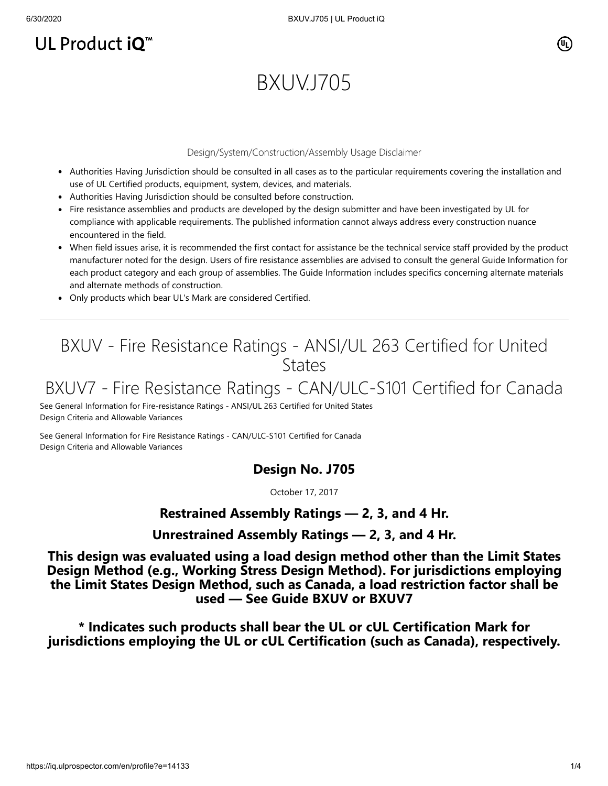# UL Product iQ<sup>™</sup>

# BXUV.J705

#### Design/System/Construction/Assembly Usage Disclaimer

- Authorities Having Jurisdiction should be consulted in all cases as to the particular requirements covering the installation and use of UL Certified products, equipment, system, devices, and materials.
- Authorities Having Jurisdiction should be consulted before construction.
- Fire resistance assemblies and products are developed by the design submitter and have been investigated by UL for compliance with applicable requirements. The published information cannot always address every construction nuance encountered in the field.
- When field issues arise, it is recommended the first contact for assistance be the technical service staff provided by the product manufacturer noted for the design. Users of fire resistance assemblies are advised to consult the general Guide Information for each product category and each group of assemblies. The Guide Information includes specifics concerning alternate materials and alternate methods of construction.
- Only products which bear UL's Mark are considered Certified.

# BXUV - Fire Resistance Ratings - ANSI/UL 263 Certified for United **States**

## BXUV7 - Fire Resistance Ratings - CAN/ULC-S101 Certified for Canada

[See General Information for Fire-resistance Ratings - ANSI/UL 263 Certified for United States](https://iq.ulprospector.com/cgi-bin/XYV/template/LISEXT/1FRAME/showpage.html?name=BXUV.GuideInfo&ccnshorttitle=Fire-resistance+Ratings+-+ANSI/UL+263&objid=1074327030&cfgid=1073741824&version=versionless&parent_id=1073984818&sequence=1) Design Criteria and Allowable Variances

[See General Information for Fire Resistance Ratings - CAN/ULC-S101 Certified for Canada](https://iq.ulprospector.com/cgi-bin/XYV/template/LISEXT/1FRAME/showpage.html?name=BXUV7.GuideInfo&ccnshorttitle=Fire+Resistance+Ratings+-+CAN/ULC-S101+Certified+for+Canada&objid=1074205658&cfgid=1073741824&version=versionless&parent_id=1073984820&sequence=1) Design Criteria and Allowable Variances

### **Design No. J705**

October 17, 2017

### **Restrained Assembly Ratings — 2, 3, and 4 Hr.**

#### **Unrestrained Assembly Ratings — 2, 3, and 4 Hr.**

**This design was evaluated using a load design method other than the Limit States Design Method (e.g., Working Stress Design Method). For jurisdictions employing the Limit States Design Method, such as Canada, a load restriction factor shall be used — See Guide [BXUV](http://database.ul.com/cgi-bin/XYV/template/LISEXT/1FRAME/showpage.html?name=BXUV.GuideInfo&ccnshorttitle=Fire-resistance+Ratings+-+ANSI/UL+263&objid=1074327030&cfgid=1073741824&version=versionless&parent_id=1073984818&sequence=1) or [BXUV7](http://database.ul.com/cgi-bin/XYV/template/LISEXT/1FRAME/showpage.html?name=BXUV7.GuideInfo&ccnshorttitle=Fire+Resistance+Ratings+-+CAN/ULC-S101M+Certified+for+Canada&objid=1074205658&cfgid=1073741824&version=versionless&parent_id=1073984820&sequence=1)**

**\* Indicates such products shall bear the UL or cUL Certification Mark for jurisdictions employing the UL or cUL Certification (such as Canada), respectively.**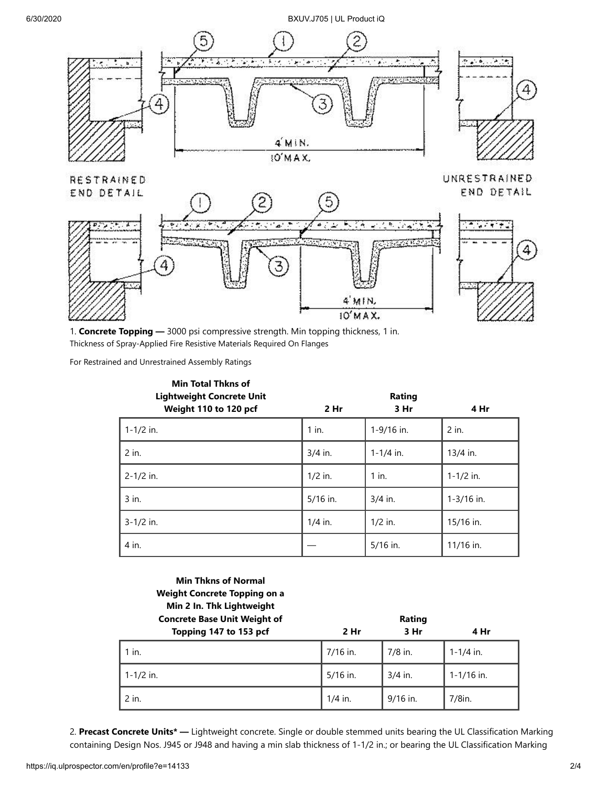#### 6/30/2020 BXUV.J705 | UL Product iQ



1. **Concrete Topping —** 3000 psi compressive strength. Min topping thickness, 1 in. Thickness of Spray-Applied Fire Resistive Materials Required On Flanges

For Restrained and Unrestrained Assembly Ratings

| <b>Min Total Thkns of</b><br><b>Lightweight Concrete Unit</b><br>Weight 110 to 120 pcf | 2 <sub>hr</sub> | Rating<br>3 Hr | 4 Hr           |
|----------------------------------------------------------------------------------------|-----------------|----------------|----------------|
| $1 - 1/2$ in.                                                                          | $1$ in.         | 1-9/16 in.     | 2 in.          |
| 2 in.                                                                                  | $3/4$ in.       | $1 - 1/4$ in.  | 13/4 in.       |
| $2 - 1/2$ in.                                                                          | $1/2$ in.       | $1$ in.        | $1 - 1/2$ in.  |
| 3 in.                                                                                  | 5/16 in.        | $3/4$ in.      | $1 - 3/16$ in. |
| $3 - 1/2$ in.                                                                          | $1/4$ in.       | $1/2$ in.      | 15/16 in.      |
| 4 in.                                                                                  |                 | 5/16 in.       | 11/16 in.      |

**Min Thkns of Normal Weight Concrete Topping on a Min 2 In. Thk Lightweight**

| <b>Concrete Base Unit Weight of</b> | Rating    |            |                |  |
|-------------------------------------|-----------|------------|----------------|--|
| Topping 147 to 153 pcf              | 2 Hr      | 3 Hr       | 4 Hr           |  |
| 1 in.                               | 7/16 in.  | $7/8$ in.  | $1 - 1/4$ in.  |  |
| 1-1/2 in.                           | 5/16 in.  | $3/4$ in.  | $1 - 1/16$ in. |  |
| 2 in.                               | $1/4$ in. | $9/16$ in. | $7/8$ in.      |  |

2. **Precast Concrete Units\* —** Lightweight concrete. Single or double stemmed units bearing the UL Classification Marking containing Design Nos. J945 or J948 and having a min slab thickness of 1-1/2 in.; or bearing the UL Classification Marking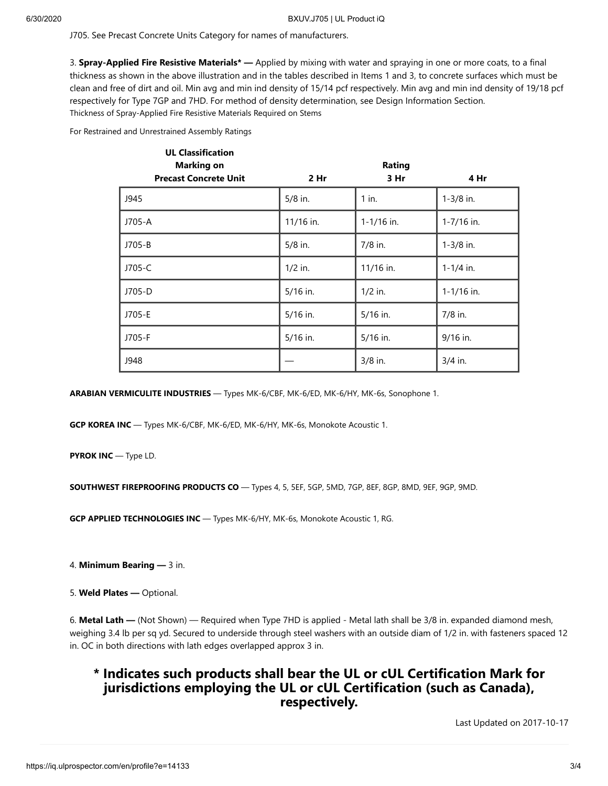J705. See Precast Concrete Units Category for names of manufacturers.

3. **Spray-Applied Fire Resistive Materials\* —** Applied by mixing with water and spraying in one or more coats, to a final thickness as shown in the above illustration and in the tables described in Items 1 and 3, to concrete surfaces which must be clean and free of dirt and oil. Min avg and min ind density of 15/14 pcf respectively. Min avg and min ind density of 19/18 pcf respectively for Type 7GP and 7HD. For method of density determination, see Design Information Section. Thickness of Spray-Applied Fire Resistive Materials Required on Stems

For Restrained and Unrestrained Assembly Ratings

| <b>UL Classification</b><br><b>Marking on</b> |            | Rating         |                |
|-----------------------------------------------|------------|----------------|----------------|
| <b>Precast Concrete Unit</b>                  | 2 Hr       | 3 Hr           | 4 Hr           |
| J945                                          | $5/8$ in.  | $1$ in.        | $1 - 3/8$ in.  |
| J705-A                                        | 11/16 in.  | $1 - 1/16$ in. | 1-7/16 in.     |
| J705-B                                        | $5/8$ in.  | 7/8 in.        | $1 - 3/8$ in.  |
| J705-C                                        | $1/2$ in.  | 11/16 in.      | $1 - 1/4$ in.  |
| J705-D                                        | 5/16 in.   | $1/2$ in.      | $1 - 1/16$ in. |
| J705-E                                        | $5/16$ in. | 5/16 in.       | 7/8 in.        |
| J705-F                                        | $5/16$ in. | $5/16$ in.     | 9/16 in.       |
| J948                                          |            | 3/8 in.        | 3/4 in.        |

**ARABIAN VERMICULITE INDUSTRIES** — Types MK-6/CBF, MK-6/ED, MK-6/HY, MK-6s, Sonophone 1.

**GCP KOREA INC** — Types MK-6/CBF, MK-6/ED, MK-6/HY, MK-6s, Monokote Acoustic 1.

**PYROK INC** — Type LD.

**SOUTHWEST FIREPROOFING PRODUCTS CO** — Types 4, 5, 5EF, 5GP, 5MD, 7GP, 8EF, 8GP, 8MD, 9EF, 9GP, 9MD.

**GCP APPLIED TECHNOLOGIES INC** — Types MK-6/HY, MK-6s, Monokote Acoustic 1, RG.

4. **Minimum Bearing —** 3 in.

5. **Weld Plates —** Optional.

6. **Metal Lath —** (Not Shown) — Required when Type 7HD is applied - Metal lath shall be 3/8 in. expanded diamond mesh, weighing 3.4 lb per sq yd. Secured to underside through steel washers with an outside diam of 1/2 in. with fasteners spaced 12 in. OC in both directions with lath edges overlapped approx 3 in.

### **\* Indicates such products shall bear the UL or cUL Certification Mark for jurisdictions employing the UL or cUL Certification (such as Canada), respectively.**

[Last Updated](javascript:openit() on 2017-10-17